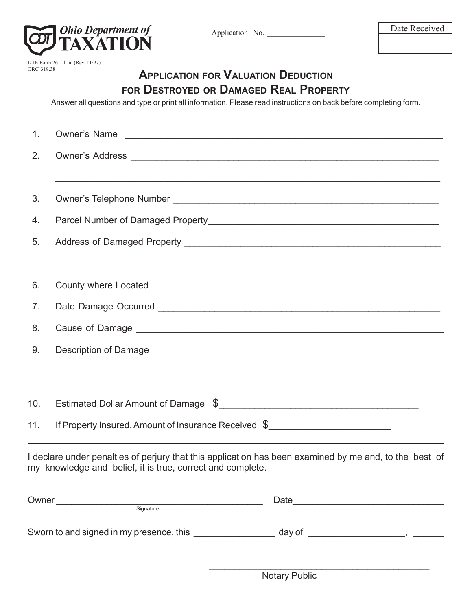

DTE Form 26 fill-in (Rev. 11/97) ORC 319.38

# **APPLICATION FOR VALUATION DEDUCTION FOR DESTROYED OR DAMAGED REAL PROPERTY**

Answer all questions and type or print all information. Please read instructions on back before completing form.

| 1.  |                                                                                                                                                                      |  |  |  |
|-----|----------------------------------------------------------------------------------------------------------------------------------------------------------------------|--|--|--|
| 2.  |                                                                                                                                                                      |  |  |  |
|     |                                                                                                                                                                      |  |  |  |
| 3.  |                                                                                                                                                                      |  |  |  |
| 4.  |                                                                                                                                                                      |  |  |  |
| 5.  |                                                                                                                                                                      |  |  |  |
|     |                                                                                                                                                                      |  |  |  |
| 6.  | County where Located <b>County where Located</b>                                                                                                                     |  |  |  |
| 7.  |                                                                                                                                                                      |  |  |  |
| 8.  |                                                                                                                                                                      |  |  |  |
| 9.  | Description of Damage                                                                                                                                                |  |  |  |
|     |                                                                                                                                                                      |  |  |  |
| 10. |                                                                                                                                                                      |  |  |  |
| 11. | If Property Insured, Amount of Insurance Received \$                                                                                                                 |  |  |  |
|     | I declare under penalties of perjury that this application has been examined by me and, to the best of<br>my knowledge and belief, it is true, correct and complete. |  |  |  |
|     | Owner<br>Signature                                                                                                                                                   |  |  |  |
|     | Sworn to and signed in my presence, this _____________                                                                                                               |  |  |  |

 $\mathcal{L}=\underbrace{\mathcal{L}=\mathcal{L}=\mathcal{L}=\mathcal{L}=\mathcal{L}=\mathcal{L}=\mathcal{L}=\mathcal{L}=\mathcal{L}=\mathcal{L}=\mathcal{L}=\mathcal{L}=\mathcal{L}=\mathcal{L}=\mathcal{L}=\mathcal{L}=\mathcal{L}=\mathcal{L}=\mathcal{L}=\mathcal{L}=\mathcal{L}=\mathcal{L}=\mathcal{L}=\mathcal{L}=\mathcal{L}=\mathcal{L}=\mathcal{L}=\mathcal{L}=\mathcal{L}=\mathcal{L}=\mathcal{L}=\mathcal{L}=\mathcal{L}=\mathcal{L}=\mathcal{L}=\$